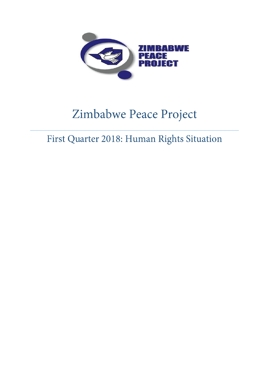

# Zimbabwe Peace Project

First Quarter 2018: Human Rights Situation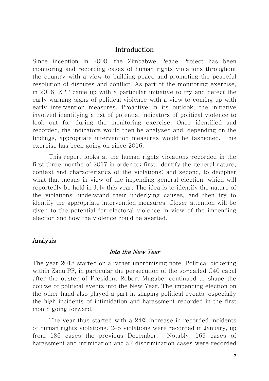### Introduction

Since inception in 2000, the Zimbabwe Peace Project has been monitoring and recording cases of human rights violations throughout the country with a view to building peace and promoting the peaceful resolution of disputes and conflict. As part of the monitoring exercise, in 2016, ZPP came up with a particular initiative to try and detect the early warning signs of political violence with a view to coming up with early intervention measures. Proactive in its outlook, the initiative involved identifying a list of potential indicators of political violence to look out for during the monitoring exercise. Once identified and recorded, the indicators would then be analysed and, depending on the findings, appropriate intervention measures would be fashioned. This exercise has been going on since 2016.

 This report looks at the human rights violations recorded in the first three months of 2017 in order to: first, identify the general nature, context and characteristics of the violations; and second, to decipher what that means in view of the impending general election, which will reportedly be held in July this year. The idea is to identify the nature of the violations, understand their underlying causes, and then try to identify the appropriate intervention measures. Closer attention will be given to the potential for electoral violence in view of the impending election and how the violence could be averted.

#### Analysis

#### Into the New Year

The year 2018 started on a rather unpromising note. Political bickering within Zanu PF, in particular the persecution of the so-called G40 cabal after the ouster of President Robert Mugabe, continued to shape the course of political events into the New Year. The impending election on the other hand also played a part in shaping political events, especially the high incidents of intimidation and harassment recorded in the first month going forward.

The year thus started with a 24% increase in recorded incidents of human rights violations. 245 violations were recorded in January, up from 186 cases the previous December. Notably, 169 cases of harassment and intimidation and 57 discrimination cases were recorded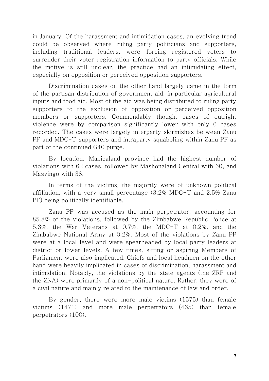in January. Of the harassment and intimidation cases, an evolving trend could be observed where ruling party politicians and supporters, including traditional leaders, were forcing registered voters to surrender their voter registration information to party officials. While the motive is still unclear, the practice had an intimidating effect, especially on opposition or perceived opposition supporters.

Discrimination cases on the other hand largely came in the form of the partisan distribution of government aid, in particular agricultural inputs and food aid. Most of the aid was being distributed to ruling party supporters to the exclusion of opposition or perceived opposition members or supporters. Commendably though, cases of outright violence were by comparison significantly lower with only 6 cases recorded. The cases were largely interparty skirmishes between Zanu PF and MDC-T supporters and intraparty squabbling within Zanu PF as part of the continued G40 purge.

By location, Manicaland province had the highest number of violations with 62 cases, followed by Mashonaland Central with 60, and Masvingo with 38.

In terms of the victims, the majority were of unknown political affiliation, with a very small percentage (3.2% MDC-T and 2.5% Zanu PF) being politically identifiable.

Zanu PF was accused as the main perpetrator, accounting for 85.8% of the violations, followed by the Zimbabwe Republic Police at 5.3%, the War Veterans at 0.7%, the MDC-T at 0.2%, and the Zimbabwe National Army at 0.2%. Most of the violations by Zanu PF were at a local level and were spearheaded by local party leaders at district or lower levels. A few times, sitting or aspiring Members of Parliament were also implicated. Chiefs and local headmen on the other hand were heavily implicated in cases of discrimination, harassment and intimidation. Notably, the violations by the state agents (the ZRP and the ZNA) were primarily of a non-political nature. Rather, they were of a civil nature and mainly related to the maintenance of law and order.

By gender, there were more male victims (1575) than female victims (1471) and more male perpetrators (465) than female perpetrators (100).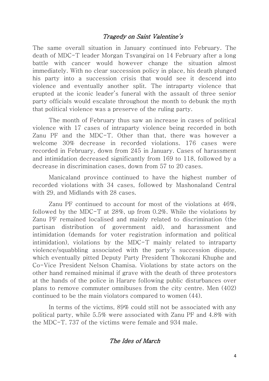# Tragedy on Saint Valentine's

The same overall situation in January continued into February. The death of MDC-T leader Morgan Tsvangirai on 14 February after a long battle with cancer would however change the situation almost immediately. With no clear succession policy in place, his death plunged his party into a succession crisis that would see it descend into violence and eventually another split. The intraparty violence that erupted at the iconic leader's funeral with the assault of three senior party officials would escalate throughout the month to debunk the myth that political violence was a preserve of the ruling party.

The month of February thus saw an increase in cases of political violence with 17 cases of intraparty violence being recorded in both Zanu PF and the MDC-T. Other than that, there was however a welcome 30% decrease in recorded violations. 176 cases were recorded in February, down from 245 in January. Cases of harassment and intimidation decreased significantly from 169 to 118, followed by a decrease in discrimination cases, down from 57 to 20 cases.

Manicaland province continued to have the highest number of recorded violations with 34 cases, followed by Mashonaland Central with 29, and Midlands with 28 cases.

Zanu PF continued to account for most of the violations at 46%, followed by the MDC-T at 28%, up from 0.2%. While the violations by Zanu PF remained localised and mainly related to discrimination (the partisan distribution of government aid), and harassment and intimidation (demands for voter registration information and political intimidation), violations by the MDC-T mainly related to intraparty violence/squabbling associated with the party's succession dispute, which eventually pitted Deputy Party President Thokozani Khuphe and Co-Vice President Nelson Chamisa. Violations by state actors on the other hand remained minimal if grave with the death of three protestors at the hands of the police in Harare following public disturbances over plans to remove commuter omnibuses from the city centre. Men (402) continued to be the main violators compared to women (44).

In terms of the victims, 89% could still not be associated with any political party, while 5.5% were associated with Zanu PF and 4.8% with the MDC-T. 737 of the victims were female and 934 male.

#### The Ides of March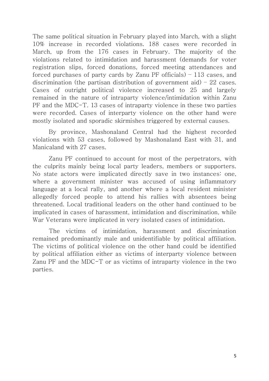The same political situation in February played into March, with a slight 10% increase in recorded violations. 188 cases were recorded in March, up from the 176 cases in February. The majority of the violations related to intimidation and harassment (demands for voter registration slips, forced donations, forced meeting attendances and forced purchases of party cards by Zanu PF officials) – 113 cases, and discrimination (the partisan distribution of government aid)  $-22$  cases. Cases of outright political violence increased to 25 and largely remained in the nature of intraparty violence/intimidation within Zanu PF and the MDC-T. 13 cases of intraparty violence in these two parties were recorded. Cases of interparty violence on the other hand were mostly isolated and sporadic skirmishes triggered by external causes.

By province, Mashonaland Central had the highest recorded violations with 53 cases, followed by Mashonaland East with 31, and Manicaland with 27 cases.

Zanu PF continued to account for most of the perpetrators, with the culprits mainly being local party leaders, members or supporters. No state actors were implicated directly save in two instances: one, where a government minister was accused of using inflammatory language at a local rally, and another where a local resident minister allegedly forced people to attend his rallies with absentees being threatened. Local traditional leaders on the other hand continued to be implicated in cases of harassment, intimidation and discrimination, while War Veterans were implicated in very isolated cases of intimidation.

The victims of intimidation, harassment and discrimination remained predominantly male and unidentifiable by political affiliation. The victims of political violence on the other hand could be identified by political affiliation either as victims of interparty violence between Zanu PF and the MDC-T or as victims of intraparty violence in the two parties.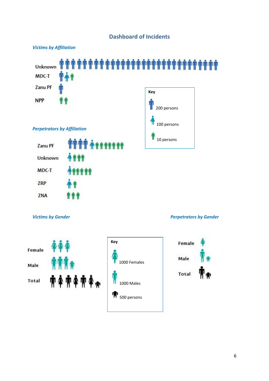







Female Male **Total**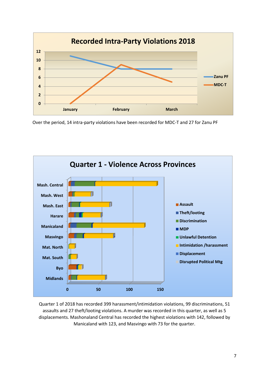

Over the period, 14 intra-party violations have been recorded for MDC-T and 27 for Zanu PF



Quarter 1 of 2018 has recorded 399 harassment/intimidation violations, 99 discriminations, 51 assaults and 27 theft/looting violations. A murder was recorded in this quarter, as well as 5 displacements. Mashonaland Central has recorded the highest violations with 142, followed by Manicaland with 123, and Masvingo with 73 for the quarter.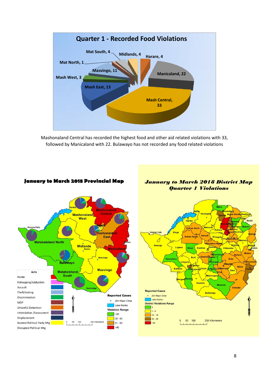

Mashonaland Central has recorded the highest food and other aid related violations with 33, followed by Manicaland with 22. Bulawayo has not recorded any food related violations



#### January to March 2018 Provincial Map



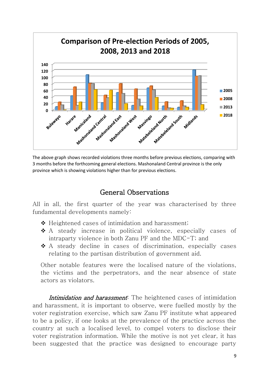

The above graph shows recorded violations three months before previous elections, comparing with 3 months before the forthcoming general elections. Mashonaland Central province is the only province which is showing violations higher than for previous elections.

# General Observations

All in all, the first quarter of the year was characterised by three fundamental developments namely:

- $\triangle$  Heightened cases of intimidation and harassment;
- A steady increase in political violence, especially cases of intraparty violence in both Zanu PF and the MDC-T; and
- A steady decline in cases of discrimination, especially cases relating to the partisan distribution of government aid.

Other notable features were the localised nature of the violations, the victims and the perpetrators, and the near absence of state actors as violators.

Intimidation and harassment. The heightened cases of intimidation and harassment, it is important to observe, were fuelled mostly by the voter registration exercise, which saw Zanu PF institute what appeared to be a policy, if one looks at the prevalence of the practice across the country at such a localised level, to compel voters to disclose their voter registration information. While the motive is not yet clear, it has been suggested that the practice was designed to encourage party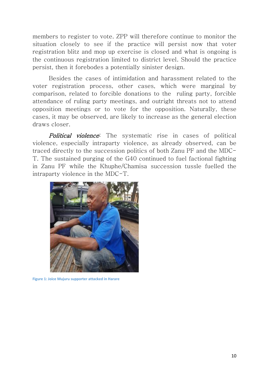members to register to vote. ZPP will therefore continue to monitor the situation closely to see if the practice will persist now that voter registration blitz and mop up exercise is closed and what is ongoing is the continuous registration limited to district level. Should the practice persist, then it forebodes a potentially sinister design.

Besides the cases of intimidation and harassment related to the voter registration process, other cases, which were marginal by comparison, related to forcible donations to the ruling party, forcible attendance of ruling party meetings, and outright threats not to attend opposition meetings or to vote for the opposition. Naturally, these cases, it may be observed, are likely to increase as the general election draws closer.

Political violence: The systematic rise in cases of political violence, especially intraparty violence, as already observed, can be traced directly to the succession politics of both Zanu PF and the MDC-T. The sustained purging of the G40 continued to fuel factional fighting in Zanu PF while the Khuphe/Chamisa succession tussle fuelled the intraparty violence in the MDC-T.



**Figure 1: Joice Mujuru supporter attacked in Harare**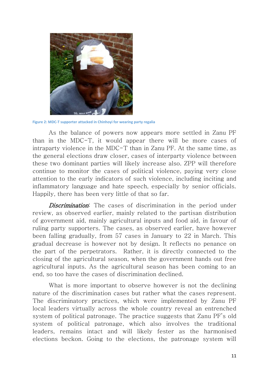

**Figure 2: MDC-T supporter attacked in Chinhoyi for wearing party regalia**

As the balance of powers now appears more settled in Zanu PF than in the MDC-T, it would appear there will be more cases of intraparty violence in the MDC-T than in Zanu PF. At the same time, as the general elections draw closer, cases of interparty violence between these two dominant parties will likely increase also. ZPP will therefore continue to monitor the cases of political violence, paying very close attention to the early indicators of such violence, including inciting and inflammatory language and hate speech, especially by senior officials. Happily, there has been very little of that so far.

Discrimination: The cases of discrimination in the period under review, as observed earlier, mainly related to the partisan distribution of government aid, mainly agricultural inputs and food aid, in favour of ruling party supporters. The cases, as observed earlier, have however been falling gradually, from 57 cases in January to 22 in March. This gradual decrease is however not by design. It reflects no penance on the part of the perpetrators. Rather, it is directly connected to the closing of the agricultural season, when the government hands out free agricultural inputs. As the agricultural season has been coming to an end, so too have the cases of discrimination declined.

What is more important to observe however is not the declining nature of the discrimination cases but rather what the cases represent. The discriminatory practices, which were implemented by Zanu PF local leaders virtually across the whole country reveal an entrenched system of political patronage. The practice suggests that Zanu PF's old system of political patronage, which also involves the traditional leaders, remains intact and will likely fester as the harmonised elections beckon. Going to the elections, the patronage system will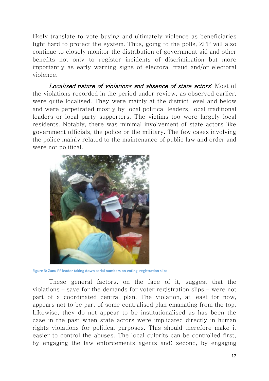likely translate to vote buying and ultimately violence as beneficiaries fight hard to protect the system. Thus, going to the polls, ZPP will also continue to closely monitor the distribution of government aid and other benefits not only to register incidents of discrimination but more importantly as early warning signs of electoral fraud and/or electoral violence.

Localised nature of violations and absence of state actors: Most of the violations recorded in the period under review, as observed earlier, were quite localised. They were mainly at the district level and below and were perpetrated mostly by local political leaders, local traditional leaders or local party supporters. The victims too were largely local residents. Notably, there was minimal involvement of state actors like government officials, the police or the military. The few cases involving the police mainly related to the maintenance of public law and order and were not political.



**Figure 3: Zanu PF leader taking down serial numbers on voting registration slips**

These general factors, on the face of it, suggest that the violations – save for the demands for voter registration slips – were not part of a coordinated central plan. The violation, at least for now, appears not to be part of some centralised plan emanating from the top. Likewise, they do not appear to be institutionalised as has been the case in the past when state actors were implicated directly in human rights violations for political purposes. This should therefore make it easier to control the abuses. The local culprits can be controlled first, by engaging the law enforcements agents and; second, by engaging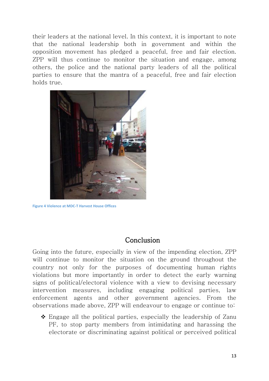their leaders at the national level. In this context, it is important to note that the national leadership both in government and within the opposition movement has pledged a peaceful, free and fair election. ZPP will thus continue to monitor the situation and engage, among others, the police and the national party leaders of all the political parties to ensure that the mantra of a peaceful, free and fair election holds true.



**Figure 4 Violence at MDC-T Harvest House Offices** 

# Conclusion

Going into the future, especially in view of the impending election, ZPP will continue to monitor the situation on the ground throughout the country not only for the purposes of documenting human rights violations but more importantly in order to detect the early warning signs of political/electoral violence with a view to devising necessary intervention measures, including engaging political parties, law enforcement agents and other government agencies. From the observations made above, ZPP will endeavour to engage or continue to:

 $\hat{\mathbf{v}}$  Engage all the political parties, especially the leadership of Zanu PF, to stop party members from intimidating and harassing the electorate or discriminating against political or perceived political